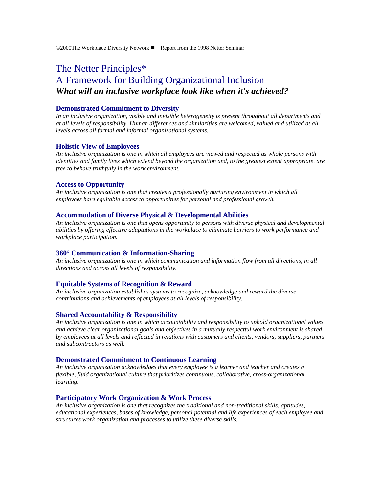# The Netter Principles\*

# A Framework for Building Organizational Inclusion *What will an inclusive workplace look like when it's achieved?*

## **Demonstrated Commitment to Diversity**

*In an inclusive organization, visible and invisible heterogeneity is present throughout all departments and at all levels of responsibility. Human differences and similarities are welcomed, valued and utilized at all levels across all formal and informal organizational systems.* 

#### **Holistic View of Employees**

*An inclusive organization is one in which all employees are viewed and respected as whole persons with identities and family lives which extend beyond the organization and, to the greatest extent appropriate, are free to behave truthfully in the work environment.* 

#### **Access to Opportunity**

*An inclusive organization is one that creates a professionally nurturing environment in which all employees have equitable access to opportunities for personal and professional growth.* 

#### **Accommodation of Diverse Physical & Developmental Abilities**

*An inclusive organization is one that opens opportunity to persons with diverse physical and developmental abilities by offering effective adaptations in the workplace to eliminate barriers to work performance and workplace participation.* 

# **360° Communication & Information-Sharing**

*An inclusive organization is one in which communication and information flow from all directions, in all directions and across all levels of responsibility.* 

#### **Equitable Systems of Recognition & Reward**

*An inclusive organization establishes systems to recognize, acknowledge and reward the diverse contributions and achievements of employees at all levels of responsibility.* 

# **Shared Accountability & Responsibility**

*An inclusive organization is one in which accountability and responsibility to uphold organizational values and achieve clear organizational goals and objectives in a mutually respectful work environment is shared by employees at all levels and reflected in relations with customers and clients, vendors, suppliers, partners and subcontractors as well.* 

#### **Demonstrated Commitment to Continuous Learning**

*An inclusive organization acknowledges that every employee is a learner and teacher and creates a flexible, fluid organizational culture that prioritizes continuous, collaborative, cross-organizational learning.* 

# **Participatory Work Organization & Work Process**

*An inclusive organization is one that recognizes the traditional and non-traditional skills, aptitudes, educational experiences, bases of knowledge, personal potential and life experiences of each employee and structures work organization and processes to utilize these diverse skills.*